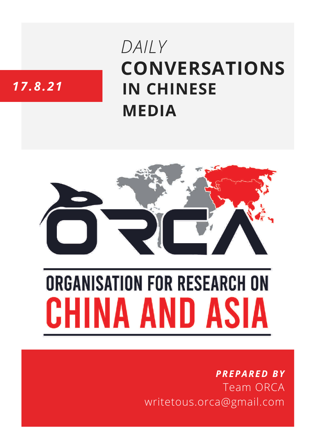# **CONVERSATIONS IN CHINESE MEDIA** *DAILY*

# *17.8.21*



# **ORGANISATION FOR RESEARCH ON** HINA AND ASIA

## *PREPARED BY* Team ORCA writetous.orca@gmail.com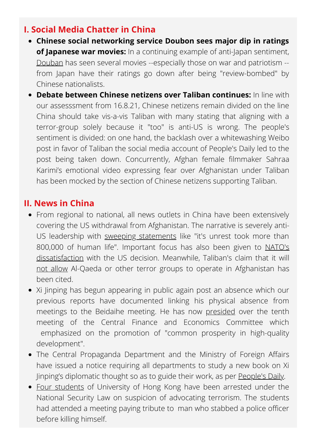#### **I. Social Media Chatter in China**

- **Chinese social networking service Doubon sees major dip in ratings of Japanese war movies:** In a continuing example of anti-Japan sentiment, [Douban](https://www.sixthtone.com/news/1008271) has seen several movies --especially those on war and patriotism - from Japan have their ratings go down after being "review-bombed" by Chinese nationalists.
- **Debate between Chinese netizens over Taliban continues:** In line with our assesssment from 16.8.21, Chinese netizens remain divided on the line China should take vis-a-vis Taliban with many stating that aligning with a terror-group solely because it "too" is anti-US is wrong. The people's sentiment is divided: on one hand, the backlash over a whitewashing Weibo post in favor of Taliban the social media account of People's Daily led to the post being taken down. Concurrently, Afghan female filmmaker Sahraa Karimi's emotional video expressing fear over Afghanistan under Taliban has been mocked by the section of Chinese netizens supporting Taliban.

#### **II. News in China**

- From regional to national, all news outlets in China have been extensively covering the US withdrawal from Afghanistan. The narrative is severely anti-US leadership with sweeping [statements](https://news.cctv.com/2021/08/17/ARTIIFPMHL27ouEeuX6rzOXW210817.shtml) like "it's unrest took more than 800,000 of human life". Important focus has also been given to NATO's [dissatisfaction](https://www.guancha.cn/internation/2021_08_17_603340_s.shtml) with the US decision. Meanwhile, Taliban's claim that it will not [allow](https://www.zaobao.com.sg/realtime/world/story20210817-1183458) Al-Qaeda or other terror groups to operate in Afghanistan has been cited.
- Xi Jinping has begun appearing in public again post an absence which our previous reports have documented linking his physical absence from meetings to the Beidaihe meeting. He has now [presided](http://www.legaldaily.com.cn/index/content/2021-08/17/content_8582335.htm) over the tenth meeting of the Central Finance and Economics Committee which emphasized on the promotion of "common prosperity in high-quality development".
- The Central Propaganda Department and the Ministry of Foreign Affairs have issued a notice requiring all departments to study a new book on Xi Jinping's diplomatic thought so as to guide their work, as per [People's](http://paper.people.com.cn/rmrb/html/2021-08/17/nw.D110000renmrb_20210817_4-01.htm) Daily.
- Four [students](https://www.forbes.com/sites/zinnialee/2021/08/18/hong-kongs-university-students-arrested-for-advocating-terrorism-under-national-security-law/?sh=28ef1ddb5333) of University of Hong Kong have been arrested under the National Security Law on suspicion of advocating terrorism. The students had attended a meeting paying tribute to man who stabbed a police officer before killing himself.